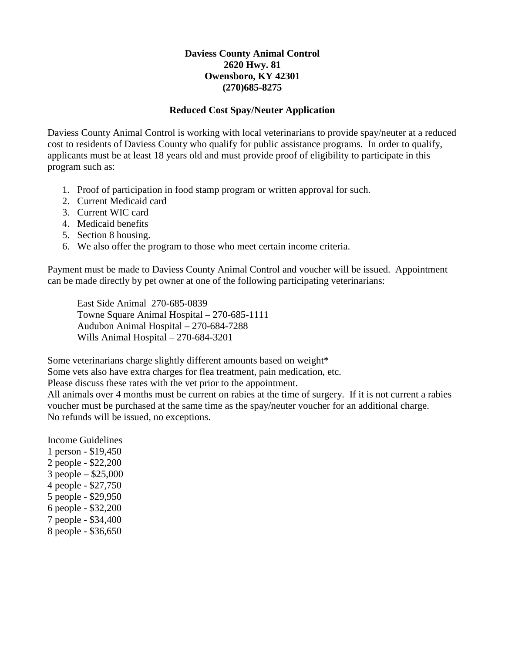## **Daviess County Animal Control 2620 Hwy. 81 Owensboro, KY 42301 (270)685-8275**

## **Reduced Cost Spay/Neuter Application**

Daviess County Animal Control is working with local veterinarians to provide spay/neuter at a reduced cost to residents of Daviess County who qualify for public assistance programs. In order to qualify, applicants must be at least 18 years old and must provide proof of eligibility to participate in this program such as:

- 1. Proof of participation in food stamp program or written approval for such.
- 2. Current Medicaid card
- 3. Current WIC card
- 4. Medicaid benefits
- 5. Section 8 housing.
- 6. We also offer the program to those who meet certain income criteria.

Payment must be made to Daviess County Animal Control and voucher will be issued. Appointment can be made directly by pet owner at one of the following participating veterinarians:

East Side Animal 270-685-0839 Towne Square Animal Hospital – 270-685-1111 Audubon Animal Hospital – 270-684-7288 Wills Animal Hospital – 270-684-3201

Some veterinarians charge slightly different amounts based on weight\*

Some vets also have extra charges for flea treatment, pain medication, etc.

Please discuss these rates with the vet prior to the appointment.

All animals over 4 months must be current on rabies at the time of surgery. If it is not current a rabies voucher must be purchased at the same time as the spay/neuter voucher for an additional charge. No refunds will be issued, no exceptions.

Income Guidelines 1 person - \$19,450 2 people - \$22,200 3 people – \$25,000 4 people - \$27,750 5 people - \$29,950 6 people - \$32,200 7 people - \$34,400 8 people - \$36,650